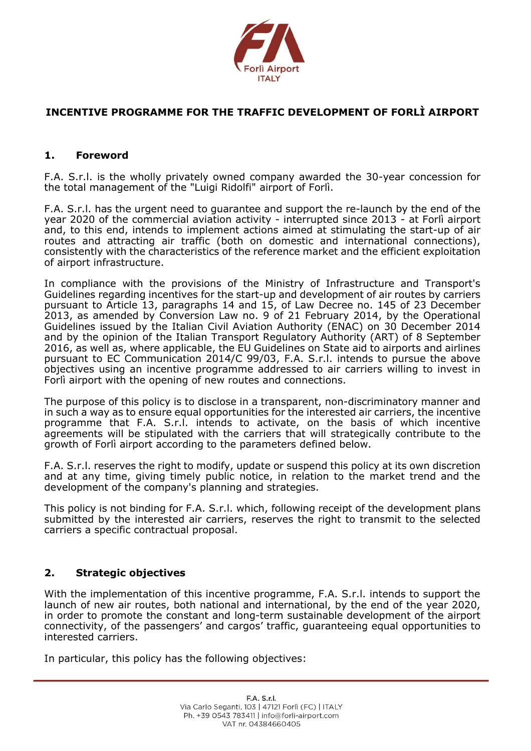

# **INCENTIVE PROGRAMME FOR THE TRAFFIC DEVELOPMENT OF FORLÌ AIRPORT**

## **1. Foreword**

F.A. S.r.l. is the wholly privately owned company awarded the 30-year concession for the total management of the "Luigi Ridolfi" airport of Forlì.

F.A. S.r.l. has the urgent need to guarantee and support the re-launch by the end of the year 2020 of the commercial aviation activity - interrupted since 2013 - at Forlì airport and, to this end, intends to implement actions aimed at stimulating the start-up of air routes and attracting air traffic (both on domestic and international connections), consistently with the characteristics of the reference market and the efficient exploitation of airport infrastructure.

In compliance with the provisions of the Ministry of Infrastructure and Transport's Guidelines regarding incentives for the start-up and development of air routes by carriers pursuant to Article 13, paragraphs 14 and 15, of Law Decree no. 145 of 23 December 2013, as amended by Conversion Law no. 9 of 21 February 2014, by the Operational Guidelines issued by the Italian Civil Aviation Authority (ENAC) on 30 December 2014 and by the opinion of the Italian Transport Regulatory Authority (ART) of 8 September 2016, as well as, where applicable, the EU Guidelines on State aid to airports and airlines pursuant to EC Communication 2014/C 99/03, F.A. S.r.l. intends to pursue the above objectives using an incentive programme addressed to air carriers willing to invest in Forlì airport with the opening of new routes and connections.

The purpose of this policy is to disclose in a transparent, non-discriminatory manner and in such a way as to ensure equal opportunities for the interested air carriers, the incentive programme that F.A. S.r.l. intends to activate, on the basis of which incentive agreements will be stipulated with the carriers that will strategically contribute to the growth of Forlì airport according to the parameters defined below.

F.A. S.r.l. reserves the right to modify, update or suspend this policy at its own discretion and at any time, giving timely public notice, in relation to the market trend and the development of the company's planning and strategies.

This policy is not binding for F.A. S.r.l. which, following receipt of the development plans submitted by the interested air carriers, reserves the right to transmit to the selected carriers a specific contractual proposal.

### **2. Strategic objectives**

With the implementation of this incentive programme, F.A. S.r.l. intends to support the launch of new air routes, both national and international, by the end of the year 2020, in order to promote the constant and long-term sustainable development of the airport connectivity, of the passengers' and cargos' traffic, guaranteeing equal opportunities to interested carriers.

In particular, this policy has the following objectives: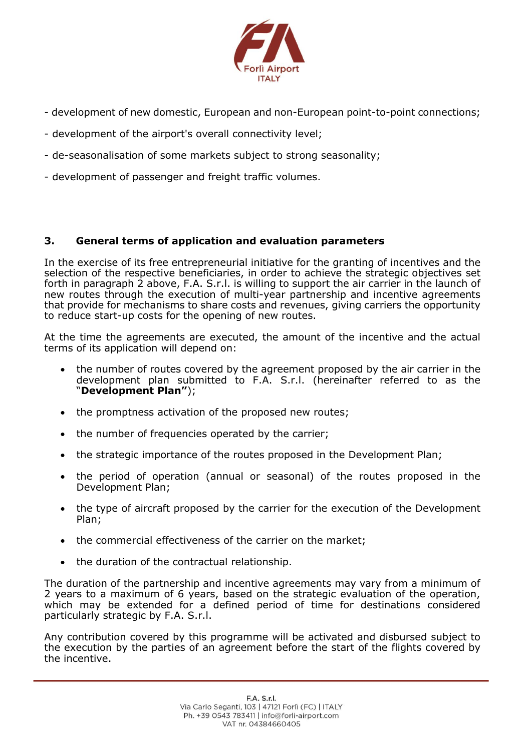

- development of new domestic, European and non-European point-to-point connections;
- development of the airport's overall connectivity level;
- de-seasonalisation of some markets subject to strong seasonality;
- development of passenger and freight traffic volumes.

# **3. General terms of application and evaluation parameters**

In the exercise of its free entrepreneurial initiative for the granting of incentives and the selection of the respective beneficiaries, in order to achieve the strategic objectives set forth in paragraph 2 above, F.A. S.r.l. is willing to support the air carrier in the launch of new routes through the execution of multi-year partnership and incentive agreements that provide for mechanisms to share costs and revenues, giving carriers the opportunity to reduce start-up costs for the opening of new routes.

At the time the agreements are executed, the amount of the incentive and the actual terms of its application will depend on:

- the number of routes covered by the agreement proposed by the air carrier in the development plan submitted to F.A. S.r.l. (hereinafter referred to as the "**Development Plan"**);
- the promptness activation of the proposed new routes;
- the number of frequencies operated by the carrier;
- the strategic importance of the routes proposed in the Development Plan;
- the period of operation (annual or seasonal) of the routes proposed in the Development Plan;
- the type of aircraft proposed by the carrier for the execution of the Development Plan;
- the commercial effectiveness of the carrier on the market;
- the duration of the contractual relationship.

The duration of the partnership and incentive agreements may vary from a minimum of 2 years to a maximum of 6 years, based on the strategic evaluation of the operation, which may be extended for a defined period of time for destinations considered particularly strategic by F.A. S.r.l.

Any contribution covered by this programme will be activated and disbursed subject to the execution by the parties of an agreement before the start of the flights covered by the incentive.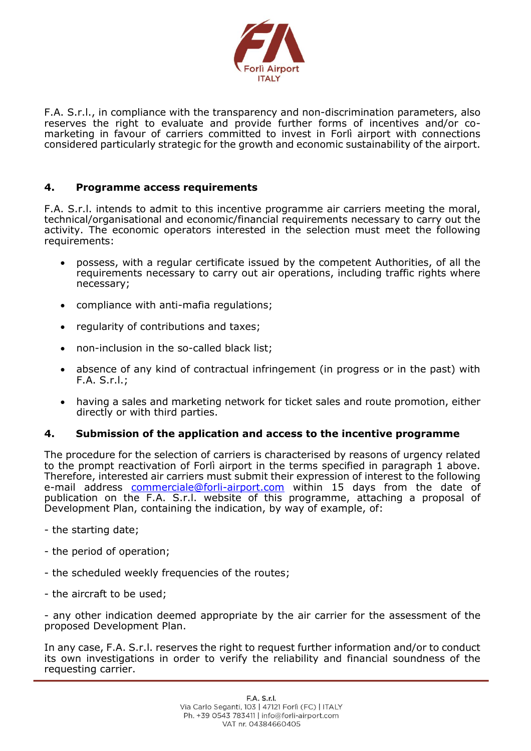

F.A. S.r.l., in compliance with the transparency and non-discrimination parameters, also reserves the right to evaluate and provide further forms of incentives and/or comarketing in favour of carriers committed to invest in Forlì airport with connections considered particularly strategic for the growth and economic sustainability of the airport.

## **4. Programme access requirements**

F.A. S.r.l. intends to admit to this incentive programme air carriers meeting the moral, technical/organisational and economic/financial requirements necessary to carry out the activity. The economic operators interested in the selection must meet the following requirements:

- possess, with a regular certificate issued by the competent Authorities, of all the requirements necessary to carry out air operations, including traffic rights where necessary;
- compliance with anti-mafia regulations;
- regularity of contributions and taxes;
- non-inclusion in the so-called black list;
- absence of any kind of contractual infringement (in progress or in the past) with F.A. S.r.l.;
- having a sales and marketing network for ticket sales and route promotion, either directly or with third parties.

### **4. Submission of the application and access to the incentive programme**

The procedure for the selection of carriers is characterised by reasons of urgency related to the prompt reactivation of Forlì airport in the terms specified in paragraph 1 above. Therefore, interested air carriers must submit their expression of interest to the following e-mail address [commerciale@forli-airport.com](mailto:commerciale@forli-airport.com) within 15 days from the date of publication on the F.A. S.r.l. website of this programme, attaching a proposal of Development Plan, containing the indication, by way of example, of:

- the starting date;
- the period of operation;
- the scheduled weekly frequencies of the routes;
- the aircraft to be used;

- any other indication deemed appropriate by the air carrier for the assessment of the proposed Development Plan.

In any case, F.A. S.r.l. reserves the right to request further information and/or to conduct its own investigations in order to verify the reliability and financial soundness of the requesting carrier.